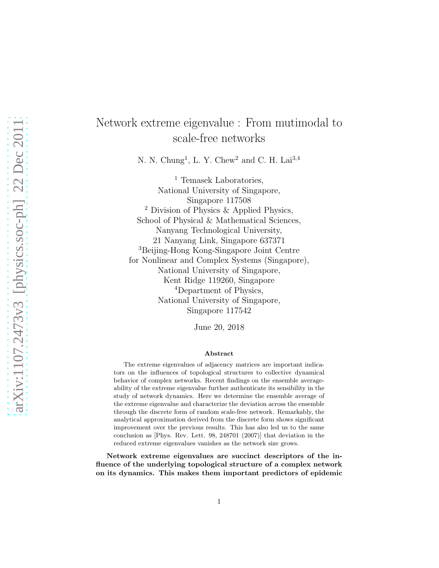## Network extreme eigenvalue : From mutimodal to scale-free networks

N. N. Chung<sup>1</sup>, L. Y. Chew<sup>2</sup> and C. H. Lai<sup>3,4</sup>

<sup>1</sup> Temasek Laboratories, National University of Singapore, Singapore 117508 <sup>2</sup> Division of Physics & Applied Physics, School of Physical & Mathematical Sciences, Nanyang Technological University, 21 Nanyang Link, Singapore 637371 <sup>3</sup>Beijing-Hong Kong-Singapore Joint Centre for Nonlinear and Complex Systems (Singapore), National University of Singapore, Kent Ridge 119260, Singapore <sup>4</sup>Department of Physics, National University of Singapore, Singapore 117542

June 20, 2018

## Abstract

The extreme eigenvalues of adjacency matrices are important indicators on the influences of topological structures to collective dynamical behavior of complex networks. Recent findings on the ensemble averageability of the extreme eigenvalue further authenticate its sensibility in the study of network dynamics. Here we determine the ensemble average of the extreme eigenvalue and characterize the deviation across the ensemble through the discrete form of random scale-free network. Remarkably, the analytical approximation derived from the discrete form shows significant improvement over the previous results. This has also led us to the same conclusion as [Phys. Rev. Lett. 98, 248701 (2007)] that deviation in the reduced extreme eigenvalues vanishes as the network size grows.

Network extreme eigenvalues are succinct descriptors of the influence of the underlying topological structure of a complex network on its dynamics. This makes them important predictors of epidemic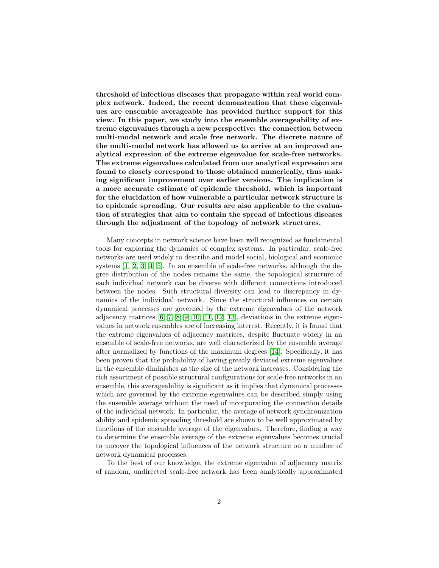threshold of infectious diseases that propagate within real world complex network. Indeed, the recent demonstration that these eigenvalues are ensemble averageable has provided further support for this view. In this paper, we study into the ensemble averageability of extreme eigenvalues through a new perspective: the connection between multi-modal network and scale free network. The discrete nature of the multi-modal network has allowed us to arrive at an improved analytical expression of the extreme eigenvalue for scale-free networks. The extreme eigenvalues calculated from our analytical expression are found to closely correspond to those obtained numerically, thus making significant improvement over earlier versions. The implication is a more accurate estimate of epidemic threshold, which is important for the elucidation of how vulnerable a particular network structure is to epidemic spreading. Our results are also applicable to the evaluation of strategies that aim to contain the spread of infectious diseases through the adjustment of the topology of network structures.

Many concepts in network science have been well recognized as fundamental tools for exploring the dynamics of complex systems. In particular, scale-free networks are used widely to describe and model social, biological and economic systems [\[1,](#page-10-0) [2,](#page-10-1) [3,](#page-10-2) [4,](#page-10-3) [5\]](#page-10-4). In an ensemble of scale-free networks, although the degree distribution of the nodes remains the same, the topological structure of each individual network can be diverse with different connections introduced between the nodes. Such structural diversity can lead to discrepancy in dynamics of the individual network. Since the structural influences on certain dynamical processes are governed by the extreme eigenvalues of the network adjacency matrices [\[6,](#page-10-5) [7,](#page-10-6) [8,](#page-10-7) [9,](#page-10-8) [10,](#page-10-9) [11,](#page-10-10) [12,](#page-10-11) [13\]](#page-10-12), deviations in the extreme eigenvalues in network ensembles are of increasing interest. Recently, it is found that the extreme eigenvalues of adjacency matrices, despite fluctuate widely in an ensemble of scale-free networks, are well characterized by the ensemble average after normalized by functions of the maximum degrees [\[14\]](#page-10-13). Specifically, it has been proven that the probability of having greatly deviated extreme eigenvalues in the ensemble diminishes as the size of the network increases. Considering the rich assortment of possible structural configurations for scale-free networks in an ensemble, this averageability is significant as it implies that dynamical processes which are governed by the extreme eigenvalues can be described simply using the ensemble average without the need of incorporating the connection details of the individual network. In particular, the average of network synchronization ability and epidemic spreading threshold are shown to be well approximated by functions of the ensemble average of the eigenvalues. Therefore, finding a way to determine the ensemble average of the extreme eigenvalues becomes crucial to uncover the topological influences of the network structure on a number of network dynamical processes.

To the best of our knowledge, the extreme eigenvalue of adjacency matrix of random, undirected scale-free network has been analytically approximated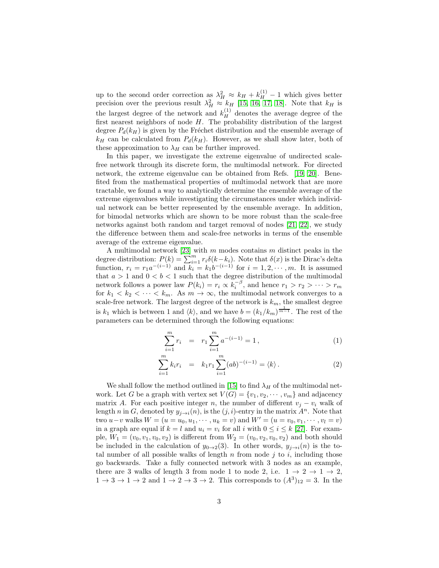up to the second order correction as  $\lambda_H^2 \approx k_H + k_H^{(1)} - 1$  which gives better precision over the previous result  $\lambda_H^2 \approx k_H$  [\[15,](#page-10-14) [16,](#page-10-15) [17,](#page-10-16) [18\]](#page-10-17). Note that  $k_H$  is the largest degree of the network and  $k_H^{(1)}$  denotes the average degree of the first nearest neighbors of node H. The probability distribution of the largest degree  $P_d(k_H)$  is given by the Fréchet distribution and the ensemble average of  $k_H$  can be calculated from  $P_d(k_H)$ . However, as we shall show later, both of these approximation to  $\lambda_H$  can be further improved.

In this paper, we investigate the extreme eigenvalue of undirected scalefree network through its discrete form, the multimodal network. For directed network, the extreme eigenvalue can be obtained from Refs. [\[19,](#page-10-18) [20\]](#page-10-19). Benefited from the mathematical properties of multimodal network that are more tractable, we found a way to analytically determine the ensemble average of the extreme eigenvalues while investigating the circumstances under which individual network can be better represented by the ensemble average. In addition, for bimodal networks which are shown to be more robust than the scale-free networks against both random and target removal of nodes [\[21,](#page-10-20) [22\]](#page-10-21), we study the difference between them and scale-free networks in terms of the ensemble average of the extreme eigenvalue.

A multimodal network [\[23\]](#page-11-0) with  $m$  modes contains  $m$  distinct peaks in the degree distribution:  $P(k) = \sum_{i=1}^{m} r_i \delta(k-k_i)$ . Note that  $\delta(x)$  is the Dirac's delta function,  $r_i = r_1 a^{-(i-1)}$  and  $k_i = k_1 b^{-(i-1)}$  for  $i = 1, 2, \dots, m$ . It is assumed that  $a > 1$  and  $0 < b < 1$  such that the degree distribution of the multimodal network follows a power law  $P(k_i) = r_i \propto k_i^{-\beta}$ , and hence  $r_1 > r_2 > \cdots > r_m$ for  $k_1 < k_2 < \cdots < k_m$ . As  $m \to \infty$ , the multimodal network converges to a scale-free network. The largest degree of the network is  $k_m$ , the smallest degree is  $k_1$  which is between 1 and  $\langle k \rangle$ , and we have  $b = (k_1/k_m)^{\frac{1}{m-1}}$ . The rest of the parameters can be determined through the following equations:

$$
\sum_{i=1}^{m} r_i = r_1 \sum_{i=1}^{m} a^{-(i-1)} = 1, \qquad (1)
$$

$$
\sum_{i=1}^{m} k_i r_i = k_1 r_1 \sum_{i=1}^{m} (ab)^{-(i-1)} = \langle k \rangle.
$$
 (2)

We shall follow the method outlined in [\[15\]](#page-10-14) to find  $\lambda_H$  of the multimodal network. Let G be a graph with vertex set  $V(G) = \{v_1, v_2, \dots, v_m\}$  and adjacency matrix A. For each positive integer n, the number of different  $v_i - v_i$  walk of length n in G, denoted by  $y_{i\rightarrow i}(n)$ , is the  $(j, i)$ -entry in the matrix  $A^n$ . Note that two  $u-v$  walks  $W = (u = u_0, u_1, \dots, u_k = v)$  and  $W' = (u = v_0, v_1, \dots, v_l = v)$ in a graph are equal if  $k = l$  and  $u_i = v_i$  for all i with  $0 \le i \le k$  [\[27\]](#page-11-1). For example,  $W_1 = (v_0, v_1, v_0, v_2)$  is different from  $W_2 = (v_0, v_2, v_0, v_2)$  and both should be included in the calculation of  $y_{0\rightarrow 2}(3)$ . In other words,  $y_{i\rightarrow i}(n)$  is the total number of all possible walks of length  $n$  from node  $j$  to  $i$ , including those go backwards. Take a fully connected network with 3 nodes as an example, there are 3 walks of length 3 from node 1 to node 2, i.e.  $1 \rightarrow 2 \rightarrow 1 \rightarrow 2$ ,  $1 \rightarrow 3 \rightarrow 1 \rightarrow 2$  and  $1 \rightarrow 2 \rightarrow 3 \rightarrow 2$ . This corresponds to  $(A^3)_{12} = 3$ . In the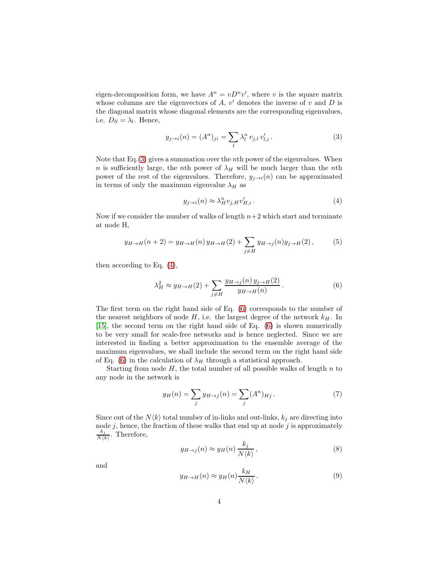eigen-decomposition form, we have  $A^n = vD^n v'$ , where v is the square matrix whose columns are the eigenvectors of  $A, v'$  denotes the inverse of v and  $D$  is the diagonal matrix whose diagonal elements are the corresponding eigenvalues, i.e.  $D_{ll} = \lambda_l$ . Hence,

<span id="page-3-0"></span>
$$
y_{j \to i}(n) = (A^n)_{ji} = \sum_{l} \lambda_l^n \, v_{j,l} \, v'_{l,i} \,.
$$
 (3)

Note that  $Eq.(3)$  $Eq.(3)$  gives a summation over the *n*th power of the eigenvalues. When n is sufficiently large, the nth power of  $\lambda_H$  will be much larger than the nth power of the rest of the eigenvalues. Therefore,  $y_{j\rightarrow i}(n)$  can be approximated in terms of only the maximum eigenvalue  $\lambda_H$  as

<span id="page-3-1"></span>
$$
y_{j \to i}(n) \approx \lambda_H^n v_{j,H} v'_{H,i}.
$$
\n<sup>(4)</sup>

Now if we consider the number of walks of length  $n+2$  which start and terminate at node H,

$$
y_{H \to H}(n+2) = y_{H \to H}(n) y_{H \to H}(2) + \sum_{j \neq H} y_{H \to j}(n) y_{j \to H}(2),
$$
 (5)

then according to Eq. [\(4\)](#page-3-1),

<span id="page-3-2"></span>
$$
\lambda_H^2 \approx y_{H \to H}(2) + \sum_{j \neq H} \frac{y_{H \to j}(n) y_{j \to H}(2)}{y_{H \to H}(n)}.
$$
\n
$$
(6)
$$

The first term on the right hand side of Eq. [\(6\)](#page-3-2) corresponds to the number of the nearest neighbors of node  $H$ , i.e. the largest degree of the network  $k_H$ . In [\[15\]](#page-10-14), the second term on the right hand side of Eq. [\(6\)](#page-3-2) is shown numerically to be very small for scale-free networks and is hence neglected. Since we are interested in finding a better approximation to the ensemble average of the maximum eigenvalues, we shall include the second term on the right hand side of Eq. [\(6\)](#page-3-2) in the calculation of  $\lambda_H$  through a statistical approach.

Starting from node  $H$ , the total number of all possible walks of length  $n$  to any node in the network is

$$
y_H(n) = \sum_j y_{H \to j}(n) = \sum_j (A^n)_{Hj} . \tag{7}
$$

Since out of the  $N\langle k \rangle$  total number of in-links and out-links,  $k_j$  are directing into node  $j$ , hence, the fraction of these walks that end up at node  $j$  is approximately  $\scriptstyle k_j$  $\frac{\kappa_j}{N\langle k \rangle}$ . Therefore,

$$
y_{H \to j}(n) \approx y_H(n) \frac{k_j}{N \langle k \rangle},\tag{8}
$$

and

$$
y_{H \to H}(n) \approx y_H(n) \frac{k_H}{N \langle k \rangle} \,. \tag{9}
$$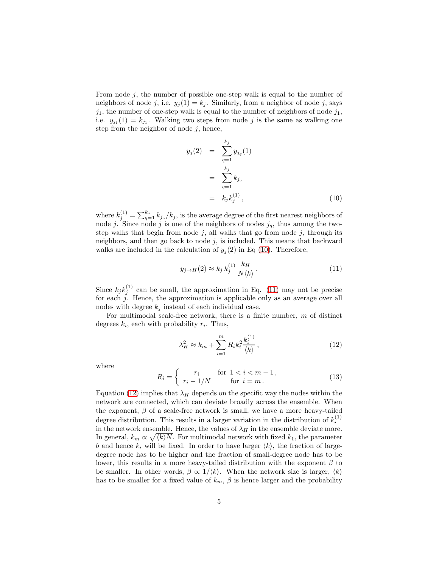From node  $j$ , the number of possible one-step walk is equal to the number of neighbors of node j, i.e.  $y_i(1) = k_i$ . Similarly, from a neighbor of node j, says  $j_1$ , the number of one-step walk is equal to the number of neighbors of node  $j_1$ , i.e.  $y_{j_1}(1) = k_{j_1}$ . Walking two steps from node j is the same as walking one step from the neighbor of node  $j$ , hence,

<span id="page-4-0"></span>
$$
y_j(2) = \sum_{q=1}^{k_j} y_{j_q}(1)
$$
  
= 
$$
\sum_{q=1}^{k_j} k_{j_q}
$$
  
= 
$$
k_j k_j^{(1)},
$$
 (10)

where  $k_j^{(1)} = \sum_{q=1}^{k_j} k_{j_q} / k_j$ , is the average degree of the first nearest neighbors of node j. Since node j is one of the neighbors of nodes  $j_q$ , thus among the twostep walks that begin from node  $j$ , all walks that go from node  $j$ , through its neighbors, and then go back to node  $j$ , is included. This means that backward walks are included in the calculation of  $y_j(2)$  in Eq [\(10\)](#page-4-0). Therefore,

<span id="page-4-1"></span>
$$
y_{j \to H}(2) \approx k_j k_j^{(1)} \frac{k_H}{N \langle k \rangle} \,. \tag{11}
$$

Since  $k_j k_j^{(1)}$  can be small, the approximation in Eq. [\(11\)](#page-4-1) may not be precise for each j. Hence, the approximation is applicable only as an average over all nodes with degree  $k_j$  instead of each individual case.

For multimodal scale-free network, there is a finite number,  $m$  of distinct degrees  $k_i$ , each with probability  $r_i$ . Thus,

<span id="page-4-2"></span>
$$
\lambda_H^2 \approx k_m + \sum_{i=1}^m R_i k_i^2 \frac{k_i^{(1)}}{\langle k \rangle},\tag{12}
$$

where

$$
R_i = \begin{cases} r_i & \text{for } 1 < i < m - 1, \\ r_i - 1/N & \text{for } i = m \end{cases} \tag{13}
$$

Equation [\(12\)](#page-4-2) implies that  $\lambda_H$  depends on the specific way the nodes within the network are connected, which can deviate broadly across the ensemble. When the exponent,  $\beta$  of a scale-free network is small, we have a more heavy-tailed degree distribution. This results in a larger variation in the distribution of  $k_i^{(1)}$ in the network ensemble. Hence, the values of  $\lambda_H$  in the ensemble deviate more. In general,  $k_m \propto \sqrt{\langle k \rangle N}$ . For multimodal network with fixed  $k_1$ , the parameter b and hence  $k_i$  will be fixed. In order to have larger  $\langle k \rangle$ , the fraction of largedegree node has to be higher and the fraction of small-degree node has to be lower, this results in a more heavy-tailed distribution with the exponent  $\beta$  to be smaller. In other words,  $\beta \propto 1/k$ . When the network size is larger,  $\langle k \rangle$ has to be smaller for a fixed value of  $k_m$ ,  $\beta$  is hence larger and the probability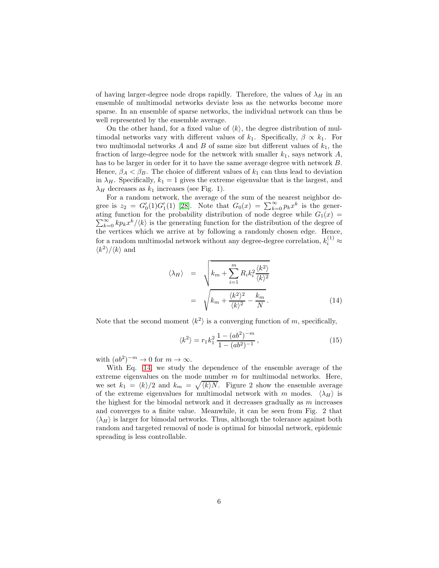of having larger-degree node drops rapidly. Therefore, the values of  $\lambda_H$  in an ensemble of multimodal networks deviate less as the networks become more sparse. In an ensemble of sparse networks, the individual network can thus be well represented by the ensemble average.

On the other hand, for a fixed value of  $\langle k \rangle$ , the degree distribution of multimodal networks vary with different values of  $k_1$ . Specifically,  $\beta \propto k_1$ . For two multimodal networks A and B of same size but different values of  $k_1$ , the fraction of large-degree node for the network with smaller  $k_1$ , says network A, has to be larger in order for it to have the same average degree with network B. Hence,  $\beta_A < \beta_B$ . The choice of different values of  $k_1$  can thus lead to deviation in  $\lambda_H$ . Specifically,  $k_1 = 1$  gives the extreme eigenvalue that is the largest, and  $\lambda_H$  decreases as  $k_1$  increases (see Fig. 1).

For a random network, the average of the sum of the nearest neighbor degree is  $z_2 = G'_0(1)G'_1(1)$  [\[28\]](#page-11-2). Note that  $G_0(x) = \sum_{k=0}^{\infty} p_k x^k$  is the gener- $\sum_{k=0}^{\infty} k p_k x^k / \langle k \rangle$  is the generating function for the distribution of the degree of ating function for the probability distribution of node degree while  $G_1(x) =$ the vertices which we arrive at by following a randomly chosen edge. Hence, for a random multimodal network without any degree-degree correlation,  $k_i^{(1)} \approx$  $\langle k^2 \rangle / \langle k \rangle$  and

<span id="page-5-0"></span>
$$
\langle \lambda_H \rangle = \sqrt{k_m + \sum_{i=1}^m R_i k_i^2 \frac{\langle k^2 \rangle}{\langle k \rangle^2}}
$$

$$
= \sqrt{k_m + \frac{\langle k^2 \rangle^2}{\langle k \rangle^2} - \frac{k_m}{N}}.
$$
(14)

Note that the second moment  $\langle k^2 \rangle$  is a converging function of m, specifically,

$$
\langle k^2 \rangle = r_1 k_1^2 \frac{1 - (ab^2)^{-m}}{1 - (ab^2)^{-1}},\tag{15}
$$

with  $(ab^2)^{-m} \to 0$  for  $m \to \infty$ .

With Eq. [14,](#page-5-0) we study the dependence of the ensemble average of the extreme eigenvalues on the mode number  $m$  for multimodal networks. Here, we set  $k_1 = \langle k \rangle/2$  and  $k_m = \sqrt{\langle k \rangle N}$ . Figure 2 show the ensemble average of the extreme eigenvalues for multimodal network with m modes.  $\langle \lambda_H \rangle$  is the highest for the bimodal network and it decreases gradually as  $m$  increases and converges to a finite value. Meanwhile, it can be seen from Fig. 2 that  $\langle \lambda_H \rangle$  is larger for bimodal networks. Thus, although the tolerance against both random and targeted removal of node is optimal for bimodal network, epidemic spreading is less controllable.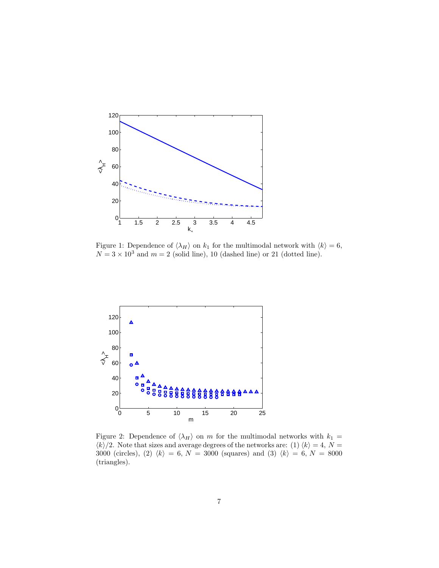

Figure 1: Dependence of  $\langle \lambda_H \rangle$  on  $k_1$  for the multimodal network with  $\langle k \rangle = 6$ ,  $N = 3 \times 10^3$  and  $m = 2$  (solid line), 10 (dashed line) or 21 (dotted line).



Figure 2: Dependence of  $\langle \lambda_H \rangle$  on m for the multimodal networks with  $k_1$  =  $\langle k \rangle/2$ . Note that sizes and average degrees of the networks are: (1)  $\langle k \rangle = 4$ ,  $N =$ 3000 (circles), (2)  $\langle k \rangle = 6, N = 3000$  (squares) and (3)  $\langle k \rangle = 6, N = 8000$ (triangles).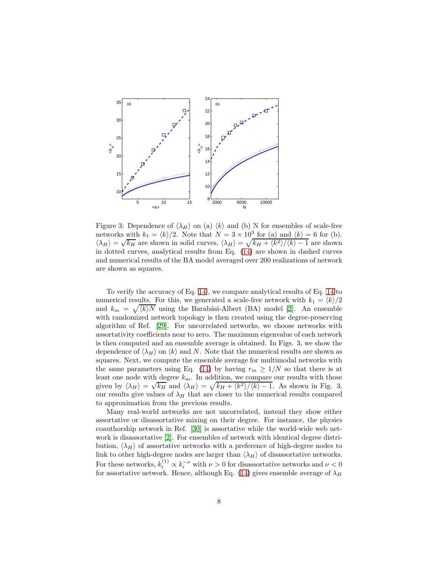

Figure 3: Dependence of  $\langle \lambda_H \rangle$  on (a)  $\langle k \rangle$  and (b) N for ensembles of scale-free networks with  $k_1 = \langle k \rangle/2$ . Note that  $N = 3 \times 10^3$  for (a) and  $\langle k \rangle = 6$  for (b).  $\langle \lambda_H \rangle = \sqrt{k_H}$  are shown in solid curves,  $\langle \lambda_H \rangle = \sqrt{k_H + \langle k^2 \rangle / \langle k \rangle - 1}$  are shown in dotted curves, analytical results from Eq. [\(14\)](#page-5-0) are shown in dashed curves and numerical results of the BA model averaged over 200 realizations of network are shown as squares.

To verify the accuracy of Eq. [14](#page-5-0) , we compare analytical results of Eq. [14](#page-5-0) to numerical results. For this, we generated a scale-free network with  $k_1 = \langle k \rangle/2$ and  $k_m = \sqrt{\langle k \rangle N}$  using the Barabási-Albert (BA) model [\[2\]](#page-10-1). An ensemble with randomized network topology is then created using the degree-preserving algorithm of Ref. [\[29\]](#page-11-3). For uncorrelated networks, we choose networks with assortativity coefficients near to zero. The maximum eigenvalue of each network is then computed and an ensemble average is obtained. In Figs. 3, we show the dependence of  $\langle \lambda_H \rangle$  on  $\langle k \rangle$  and N. Note that the numerical results are shown as squares. Next, we compute the ensemble average for multimodal networks with the same parameters using Eq. [\(14\)](#page-5-0) by having  $r_m \geq 1/N$  so that there is at least one node with degree  $k_m$ . In addition, we compare our results with those given by  $\langle \lambda_H \rangle = \sqrt{k_H}$  and  $\langle \lambda_H \rangle = \sqrt{k_H + \langle k^2 \rangle / \langle k \rangle - 1}$ . As shown in Fig. 3, our results give values of  $\lambda_H$  that are closer to the numerical results compared to approximation from the previous results.

Many real-world networks are not uncorrelated, instead they show either assortative or disassortative mixing on their degree. For instance, the physics coauthorship network in Ref. [\[30\]](#page-11-4) is assortative while the world-wide web network is disassortative [\[2\]](#page-10-1). For ensembles of network with identical degree distribution,  $\langle \lambda_H \rangle$  of assortative networks with a preference of high-degree nodes to link to other high-degree nodes are larger than  $\langle \lambda_H \rangle$  of disassortative networks. For these networks,  $k_i^{(1)} \propto k_i^{-\nu}$  with  $\nu > 0$  for disassortative networks and  $\nu < 0$ for assortative network. Hence, although Eq. [\(14\)](#page-5-0) gives ensemble average of  $\lambda_H$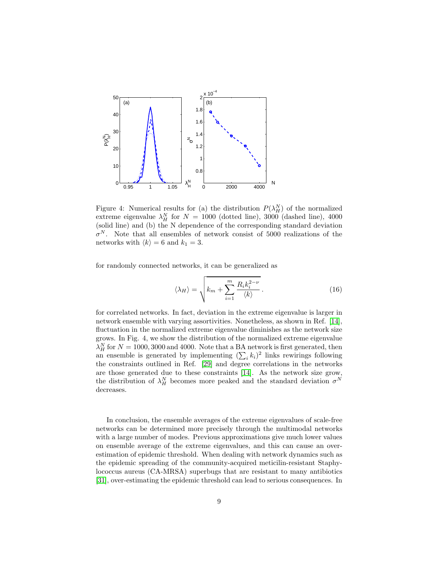

Figure 4: Numerical results for (a) the distribution  $P(\lambda_H^N)$  of the normalized extreme eigenvalue  $\lambda_H^N$  for  $N = 1000$  (dotted line), 3000 (dashed line), 4000 (solid line) and (b) the N dependence of the corresponding standard deviation  $\sigma^N$ . Note that all ensembles of network consist of 5000 realizations of the networks with  $\langle k \rangle = 6$  and  $k_1 = 3$ .

for randomly connected networks, it can be generalized as

$$
\langle \lambda_H \rangle = \sqrt{\frac{k_m + \sum_{i=1}^m \frac{R_i k_i^{2-\nu}}{\langle k \rangle}}.
$$
 (16)

for correlated networks. In fact, deviation in the extreme eigenvalue is larger in network ensemble with varying assortivities. Nonetheless, as shown in Ref. [\[14\]](#page-10-13), fluctuation in the normalized extreme eigenvalue diminishes as the network size grows. In Fig. 4, we show the distribution of the normalized extreme eigenvalue  $\lambda_H^N$  for  $N = 1000, 3000$  and 4000. Note that a BA network is first generated, then an ensemble is generated by implementing  $(\sum_i k_i)^2$  links rewirings following the constraints outlined in Ref. [\[29\]](#page-11-3) and degree correlations in the networks are those generated due to these constraints [\[14\]](#page-10-13). As the network size grow, the distribution of  $\lambda_H^N$  becomes more peaked and the standard deviation  $\sigma^N$ decreases.

In conclusion, the ensemble averages of the extreme eigenvalues of scale-free networks can be determined more precisely through the multimodal networks with a large number of modes. Previous approximations give much lower values on ensemble average of the extreme eigenvalues, and this can cause an overestimation of epidemic threshold. When dealing with network dynamics such as the epidemic spreading of the community-acquired meticilin-resistant Staphylococcus aureus (CA-MRSA) superbugs that are resistant to many antibiotics [\[31\]](#page-11-5), over-estimating the epidemic threshold can lead to serious consequences. In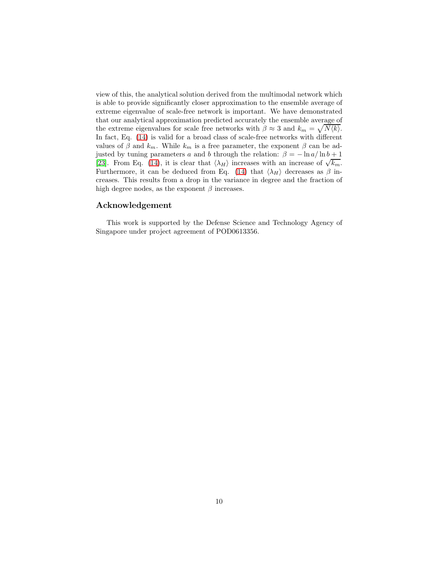view of this, the analytical solution derived from the multimodal network which is able to provide significantly closer approximation to the ensemble average of extreme eigenvalue of scale-free network is important. We have demonstrated that our analytical approximation predicted accurately the ensemble average of the extreme eigenvalues for scale free networks with  $\beta \approx 3$  and  $k_m = \sqrt{N \langle k \rangle}$ . In fact, Eq. [\(14\)](#page-5-0) is valid for a broad class of scale-free networks with different values of  $\beta$  and  $k_m$ . While  $k_m$  is a free parameter, the exponent  $\beta$  can be adjusted by tuning parameters a and b through the relation:  $\beta = -\ln a/\ln b + 1$ [\[23\]](#page-11-0). From Eq. [\(14\)](#page-5-0), it is clear that  $\langle \lambda_H \rangle$  increases with an increase of  $\sqrt{k_m}$ . Furthermore, it can be deduced from Eq. [\(14\)](#page-5-0) that  $\langle \lambda_H \rangle$  decreases as  $\beta$  increases. This results from a drop in the variance in degree and the fraction of high degree nodes, as the exponent  $\beta$  increases.

## Acknowledgement

This work is supported by the Defense Science and Technology Agency of Singapore under project agreement of POD0613356.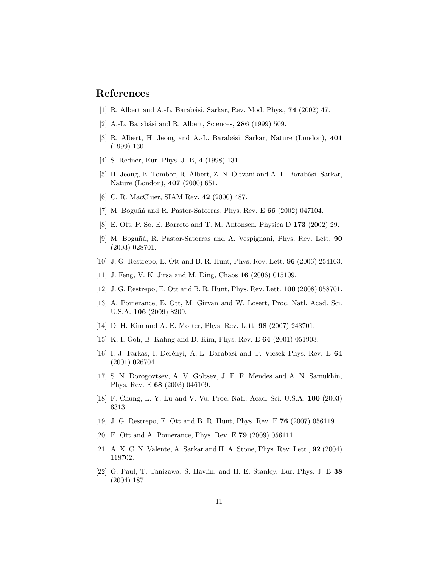## <span id="page-10-0"></span>References

- <span id="page-10-1"></span>[1] R. Albert and A.-L. Barabási. Sarkar, Rev. Mod. Phys., **74** (2002) 47.
- <span id="page-10-2"></span>[2] A.-L. Barabási and R. Albert, Sciences,  $286$  (1999) 509.
- <span id="page-10-3"></span>[3] R. Albert, H. Jeong and A.-L. Barabási. Sarkar, Nature (London), 401 (1999) 130.
- <span id="page-10-4"></span>[4] S. Redner, Eur. Phys. J. B, 4 (1998) 131.
- [5] H. Jeong, B. Tombor, R. Albert, Z. N. Oltvani and A.-L. Barabási. Sarkar, Nature (London), 407 (2000) 651.
- <span id="page-10-6"></span><span id="page-10-5"></span>[6] C. R. MacCluer, SIAM Rev. 42 (2000) 487.
- <span id="page-10-7"></span>[7] M. Boguñá and R. Pastor-Satorras, Phys. Rev. E  $66$  (2002) 047104.
- <span id="page-10-8"></span>[8] E. Ott, P. So, E. Barreto and T. M. Antonsen, Physica D 173 (2002) 29.
- [9] M. Boguñá, R. Pastor-Satorras and A. Vespignani, Phys. Rev. Lett. 90 (2003) 028701.
- <span id="page-10-10"></span><span id="page-10-9"></span>[10] J. G. Restrepo, E. Ott and B. R. Hunt, Phys. Rev. Lett. 96 (2006) 254103.
- <span id="page-10-11"></span>[11] J. Feng, V. K. Jirsa and M. Ding, Chaos 16 (2006) 015109.
- <span id="page-10-12"></span>[12] J. G. Restrepo, E. Ott and B. R. Hunt, Phys. Rev. Lett. 100 (2008) 058701.
- [13] A. Pomerance, E. Ott, M. Girvan and W. Losert, Proc. Natl. Acad. Sci. U.S.A. 106 (2009) 8209.
- <span id="page-10-14"></span><span id="page-10-13"></span>[14] D. H. Kim and A. E. Motter, Phys. Rev. Lett. 98 (2007) 248701.
- <span id="page-10-15"></span>[15] K.-I. Goh, B. Kahng and D. Kim, Phys. Rev. E 64 (2001) 051903.
- [16] I. J. Farkas, I. Derényi, A.-L. Barabási and T. Vicsek Phys. Rev. E 64 (2001) 026704.
- <span id="page-10-16"></span>[17] S. N. Dorogovtsev, A. V. Goltsev, J. F. F. Mendes and A. N. Samukhin, Phys. Rev. E 68 (2003) 046109.
- <span id="page-10-18"></span><span id="page-10-17"></span>[18] F. Chung, L. Y. Lu and V. Vu, Proc. Natl. Acad. Sci. U.S.A. 100 (2003) 6313.
- <span id="page-10-19"></span>[19] J. G. Restrepo, E. Ott and B. R. Hunt, Phys. Rev. E 76 (2007) 056119.
- <span id="page-10-20"></span>[20] E. Ott and A. Pomerance, Phys. Rev. E 79 (2009) 056111.
- <span id="page-10-21"></span>[21] A. X. C. N. Valente, A. Sarkar and H. A. Stone, Phys. Rev. Lett., 92 (2004) 118702.
- [22] G. Paul, T. Tanizawa, S. Havlin, and H. E. Stanley, Eur. Phys. J. B 38 (2004) 187.